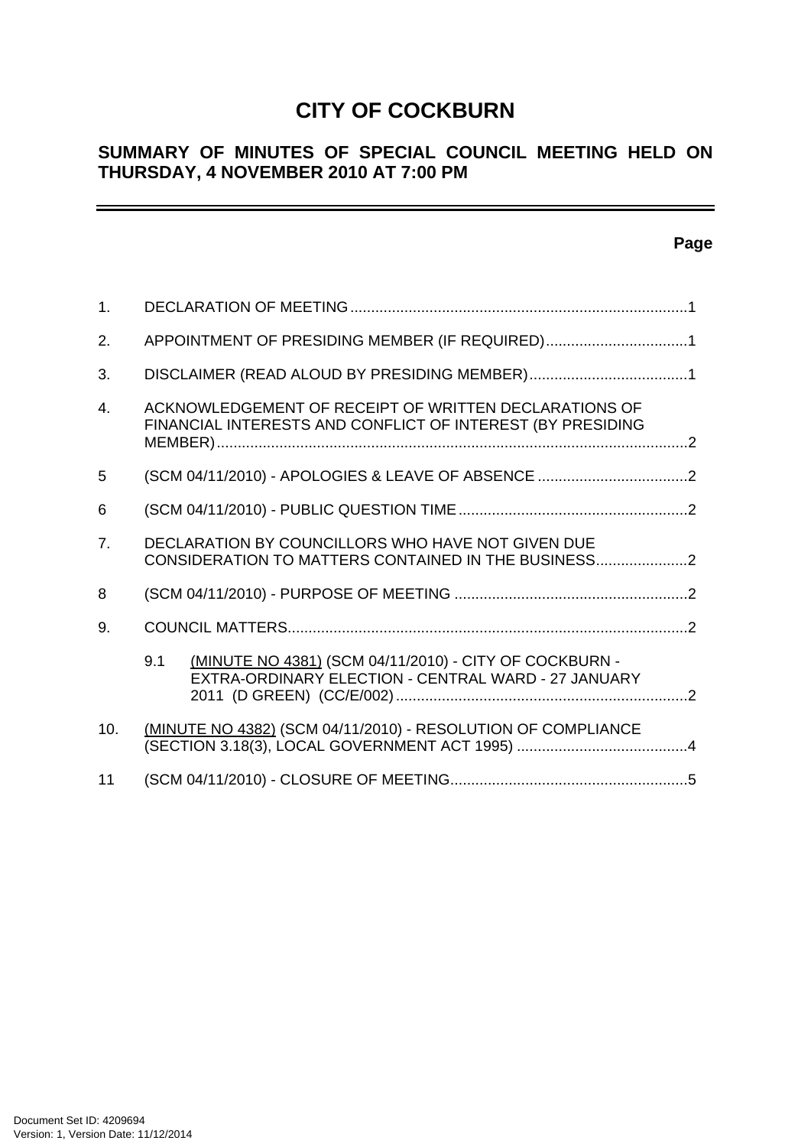# **CITY OF COCKBURN**

# **SUMMARY OF MINUTES OF SPECIAL COUNCIL MEETING HELD ON THURSDAY, 4 NOVEMBER 2010 AT 7:00 PM**

### **Page**

| $\mathbf{1}$ . |                                                                                                                      |  |  |  |
|----------------|----------------------------------------------------------------------------------------------------------------------|--|--|--|
| 2.             | APPOINTMENT OF PRESIDING MEMBER (IF REQUIRED)1                                                                       |  |  |  |
| 3.             |                                                                                                                      |  |  |  |
| $\mathbf{4}$ . | ACKNOWLEDGEMENT OF RECEIPT OF WRITTEN DECLARATIONS OF<br>FINANCIAL INTERESTS AND CONFLICT OF INTEREST (BY PRESIDING  |  |  |  |
| 5              | (SCM 04/11/2010) - APOLOGIES & LEAVE OF ABSENCE 2                                                                    |  |  |  |
| 6              |                                                                                                                      |  |  |  |
| 7 <sub>1</sub> | DECLARATION BY COUNCILLORS WHO HAVE NOT GIVEN DUE<br>CONSIDERATION TO MATTERS CONTAINED IN THE BUSINESS2             |  |  |  |
| 8              |                                                                                                                      |  |  |  |
| 9.             |                                                                                                                      |  |  |  |
|                | (MINUTE NO 4381) (SCM 04/11/2010) - CITY OF COCKBURN -<br>9.1<br>EXTRA-ORDINARY ELECTION - CENTRAL WARD - 27 JANUARY |  |  |  |
| 10.            | (MINUTE NO 4382) (SCM 04/11/2010) - RESOLUTION OF COMPLIANCE                                                         |  |  |  |
| 11             |                                                                                                                      |  |  |  |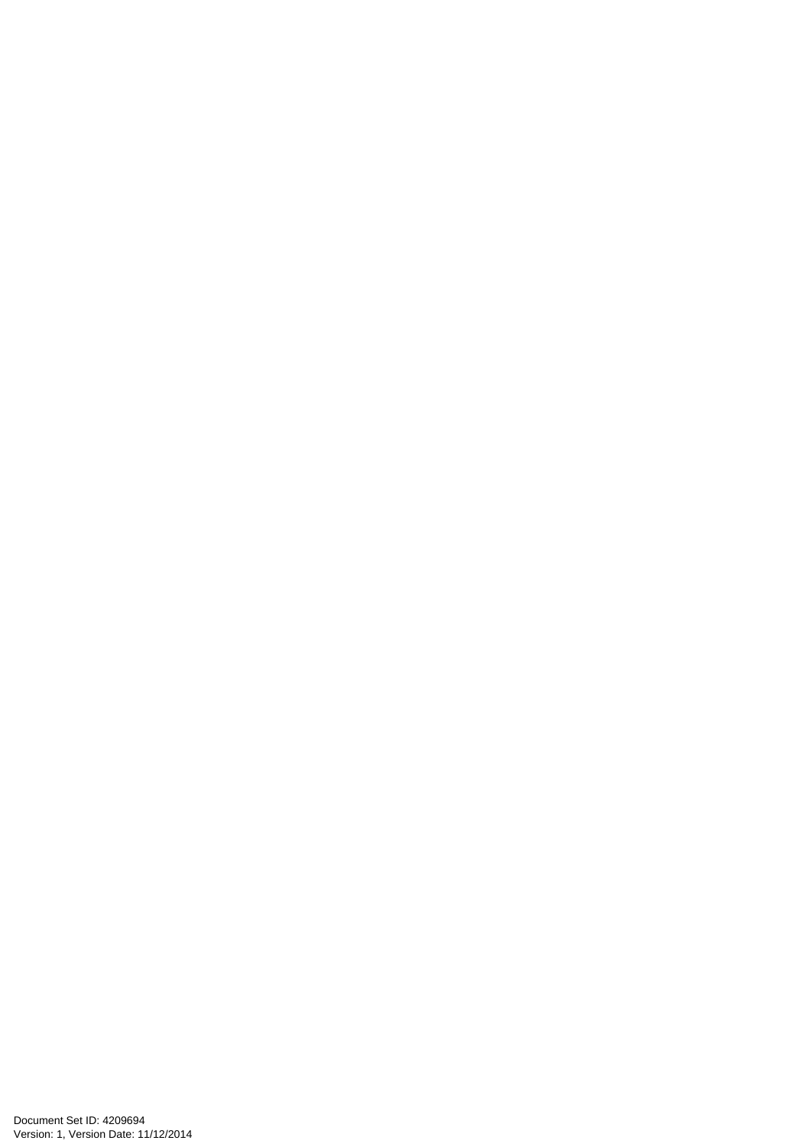Document Set ID: 4209694<br>Version: 1, Version Date: 11/12/2014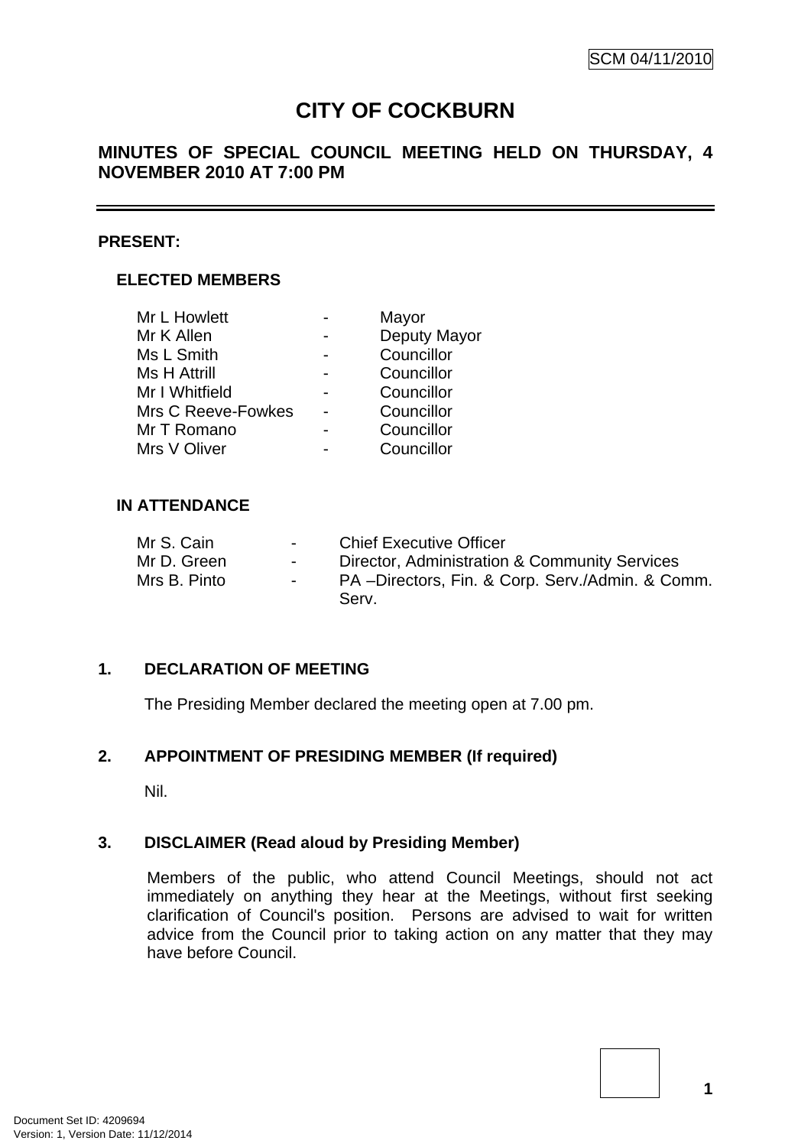# **CITY OF COCKBURN**

## <span id="page-2-0"></span>**MINUTES OF SPECIAL COUNCIL MEETING HELD ON THURSDAY, 4 NOVEMBER 2010 AT 7:00 PM**

#### **PRESENT:**

### **ELECTED MEMBERS**

| Mayor        |
|--------------|
| Deputy Mayor |
| Councillor   |
| Councillor   |
| Councillor   |
| Councillor   |
| Councillor   |
| Councillor   |
|              |

#### **IN ATTENDANCE**

| Mr S. Cain   | $\sim$ 100 $\mu$ | <b>Chief Executive Officer</b>                  |
|--------------|------------------|-------------------------------------------------|
| Mr D. Green  | $\sim$ 100 $\mu$ | Director, Administration & Community Services   |
| Mrs B. Pinto | $\sim$ $\sim$    | PA-Directors, Fin. & Corp. Serv./Admin. & Comm. |
|              |                  | Serv.                                           |

#### **1. DECLARATION OF MEETING**

The Presiding Member declared the meeting open at 7.00 pm.

#### **2. APPOINTMENT OF PRESIDING MEMBER (If required)**

Nil.

#### **3. DISCLAIMER (Read aloud by Presiding Member)**

Members of the public, who attend Council Meetings, should not act immediately on anything they hear at the Meetings, without first seeking clarification of Council's position. Persons are advised to wait for written advice from the Council prior to taking action on any matter that they may have before Council.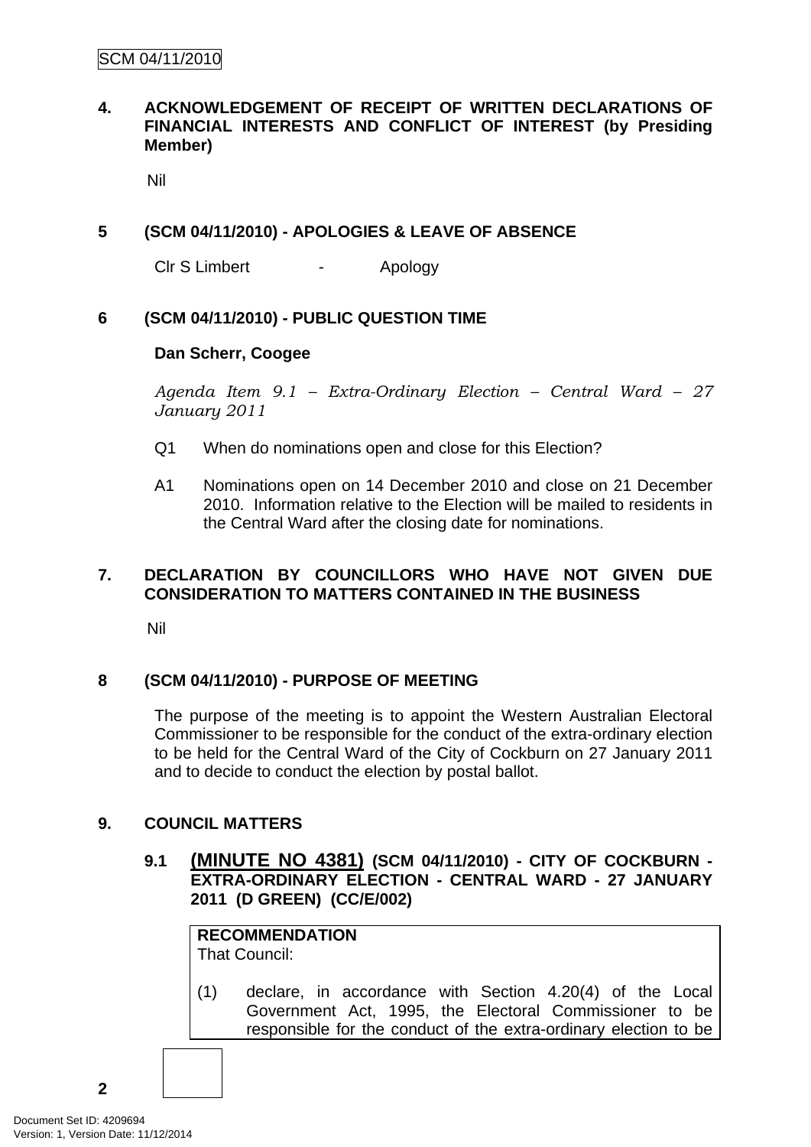### <span id="page-3-0"></span>**4. ACKNOWLEDGEMENT OF RECEIPT OF WRITTEN DECLARATIONS OF FINANCIAL INTERESTS AND CONFLICT OF INTEREST (by Presiding Member)**

Nil

## **5 (SCM 04/11/2010) - APOLOGIES & LEAVE OF ABSENCE**

Clr S Limbert - Apology

## **6 (SCM 04/11/2010) - PUBLIC QUESTION TIME**

## **Dan Scherr, Coogee**

*Agenda Item 9.1 – Extra-Ordinary Election – Central Ward – 27 January 2011* 

- Q1 When do nominations open and close for this Election?
- A1 Nominations open on 14 December 2010 and close on 21 December 2010. Information relative to the Election will be mailed to residents in the Central Ward after the closing date for nominations.

#### **7. DECLARATION BY COUNCILLORS WHO HAVE NOT GIVEN DUE CONSIDERATION TO MATTERS CONTAINED IN THE BUSINESS**

Nil

## **8 (SCM 04/11/2010) - PURPOSE OF MEETING**

The purpose of the meeting is to appoint the Western Australian Electoral Commissioner to be responsible for the conduct of the extra-ordinary election to be held for the Central Ward of the City of Cockburn on 27 January 2011 and to decide to conduct the election by postal ballot.

## **9. COUNCIL MATTERS**

### **9.1 (MINUTE NO 4381) (SCM 04/11/2010) - CITY OF COCKBURN - EXTRA-ORDINARY ELECTION - CENTRAL WARD - 27 JANUARY 2011 (D GREEN) (CC/E/002)**

**RECOMMENDATION** That Council:

(1) declare, in accordance with Section 4.20(4) of the Local Government Act, 1995, the Electoral Commissioner to be responsible for the conduct of the extra-ordinary election to be

**2**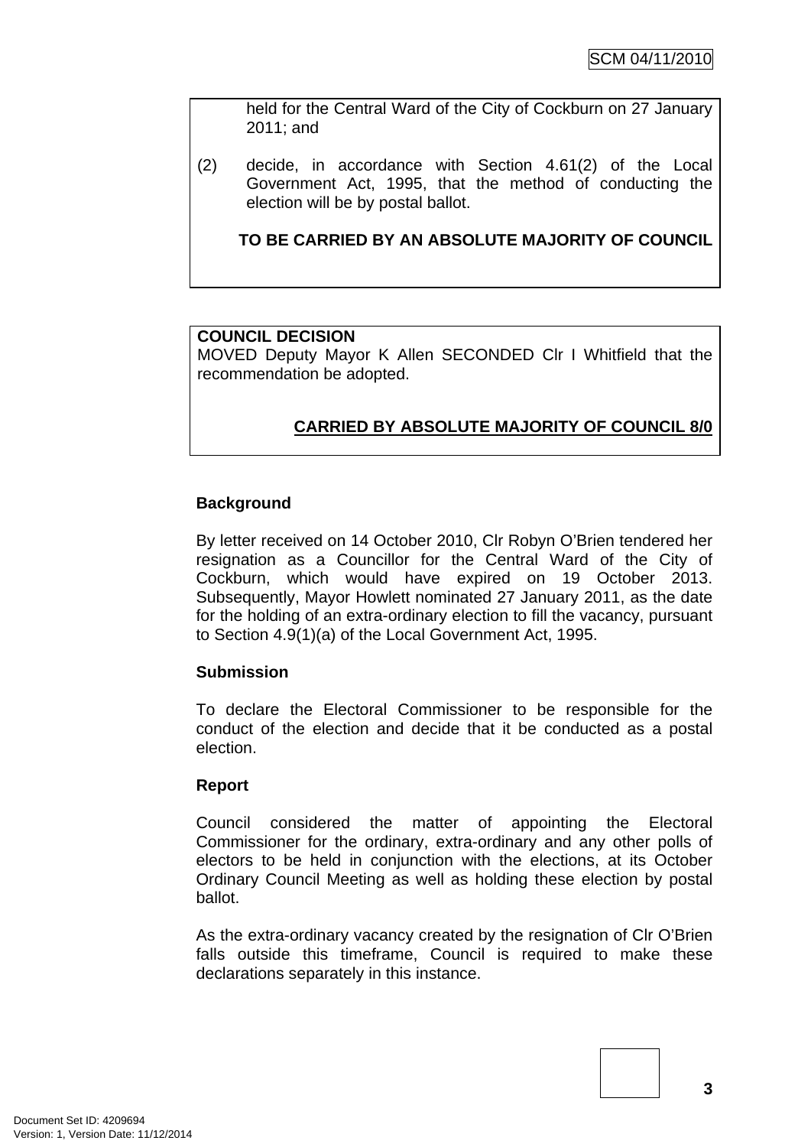held for the Central Ward of the City of Cockburn on 27 January 2011; and

(2) decide, in accordance with Section 4.61(2) of the Local Government Act, 1995, that the method of conducting the election will be by postal ballot.

**TO BE CARRIED BY AN ABSOLUTE MAJORITY OF COUNCIL**

#### **COUNCIL DECISION**

MOVED Deputy Mayor K Allen SECONDED Clr I Whitfield that the recommendation be adopted.

# **CARRIED BY ABSOLUTE MAJORITY OF COUNCIL 8/0**

#### **Background**

By letter received on 14 October 2010, Clr Robyn O'Brien tendered her resignation as a Councillor for the Central Ward of the City of Cockburn, which would have expired on 19 October 2013. Subsequently, Mayor Howlett nominated 27 January 2011, as the date for the holding of an extra-ordinary election to fill the vacancy, pursuant to Section 4.9(1)(a) of the Local Government Act, 1995.

#### **Submission**

To declare the Electoral Commissioner to be responsible for the conduct of the election and decide that it be conducted as a postal election.

#### **Report**

Council considered the matter of appointing the Electoral Commissioner for the ordinary, extra-ordinary and any other polls of electors to be held in conjunction with the elections, at its October Ordinary Council Meeting as well as holding these election by postal ballot.

As the extra-ordinary vacancy created by the resignation of Clr O'Brien falls outside this timeframe, Council is required to make these declarations separately in this instance.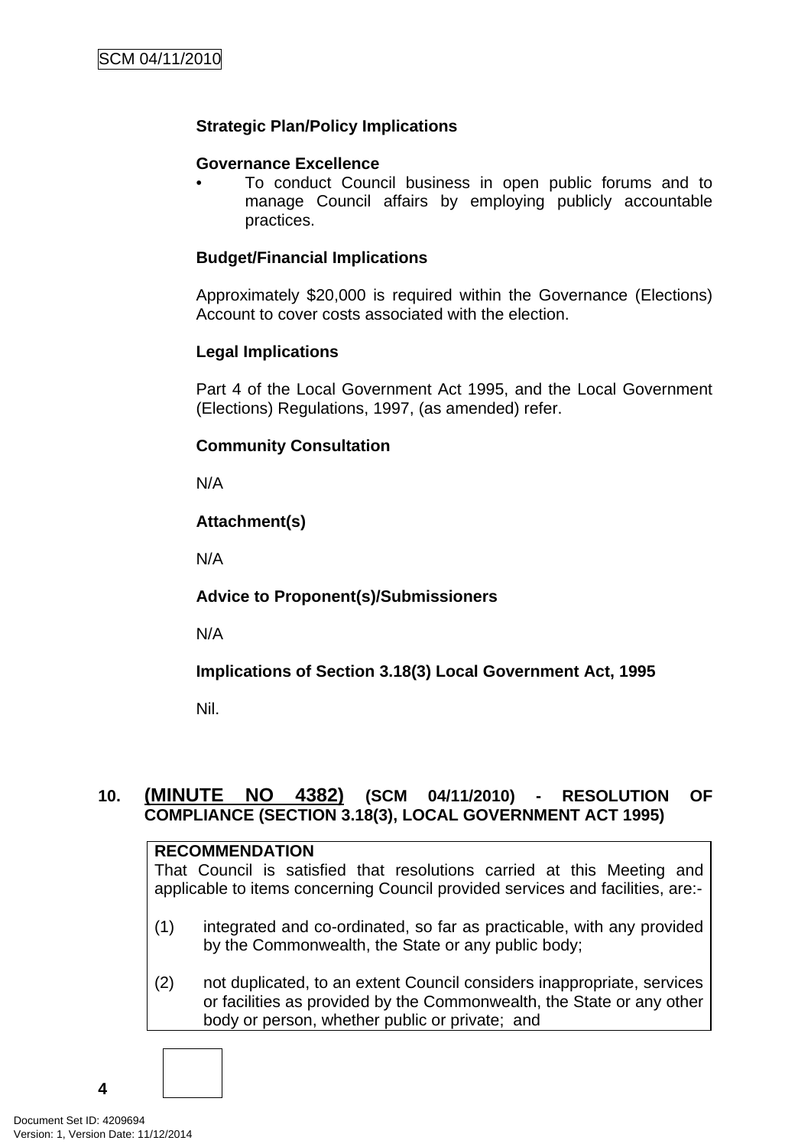### <span id="page-5-0"></span>**Strategic Plan/Policy Implications**

#### **Governance Excellence**

• To conduct Council business in open public forums and to manage Council affairs by employing publicly accountable practices.

#### **Budget/Financial Implications**

Approximately \$20,000 is required within the Governance (Elections) Account to cover costs associated with the election.

#### **Legal Implications**

Part 4 of the Local Government Act 1995, and the Local Government (Elections) Regulations, 1997, (as amended) refer.

#### **Community Consultation**

N/A

#### **Attachment(s)**

N/A

**Advice to Proponent(s)/Submissioners** 

N/A

**Implications of Section 3.18(3) Local Government Act, 1995**

Nil.

## **10. (MINUTE NO 4382) (SCM 04/11/2010) - RESOLUTION OF COMPLIANCE (SECTION 3.18(3), LOCAL GOVERNMENT ACT 1995)**

## **RECOMMENDATION**

That Council is satisfied that resolutions carried at this Meeting and applicable to items concerning Council provided services and facilities, are:-

- (1) integrated and co-ordinated, so far as practicable, with any provided by the Commonwealth, the State or any public body;
- (2) not duplicated, to an extent Council considers inappropriate, services or facilities as provided by the Commonwealth, the State or any other body or person, whether public or private; and